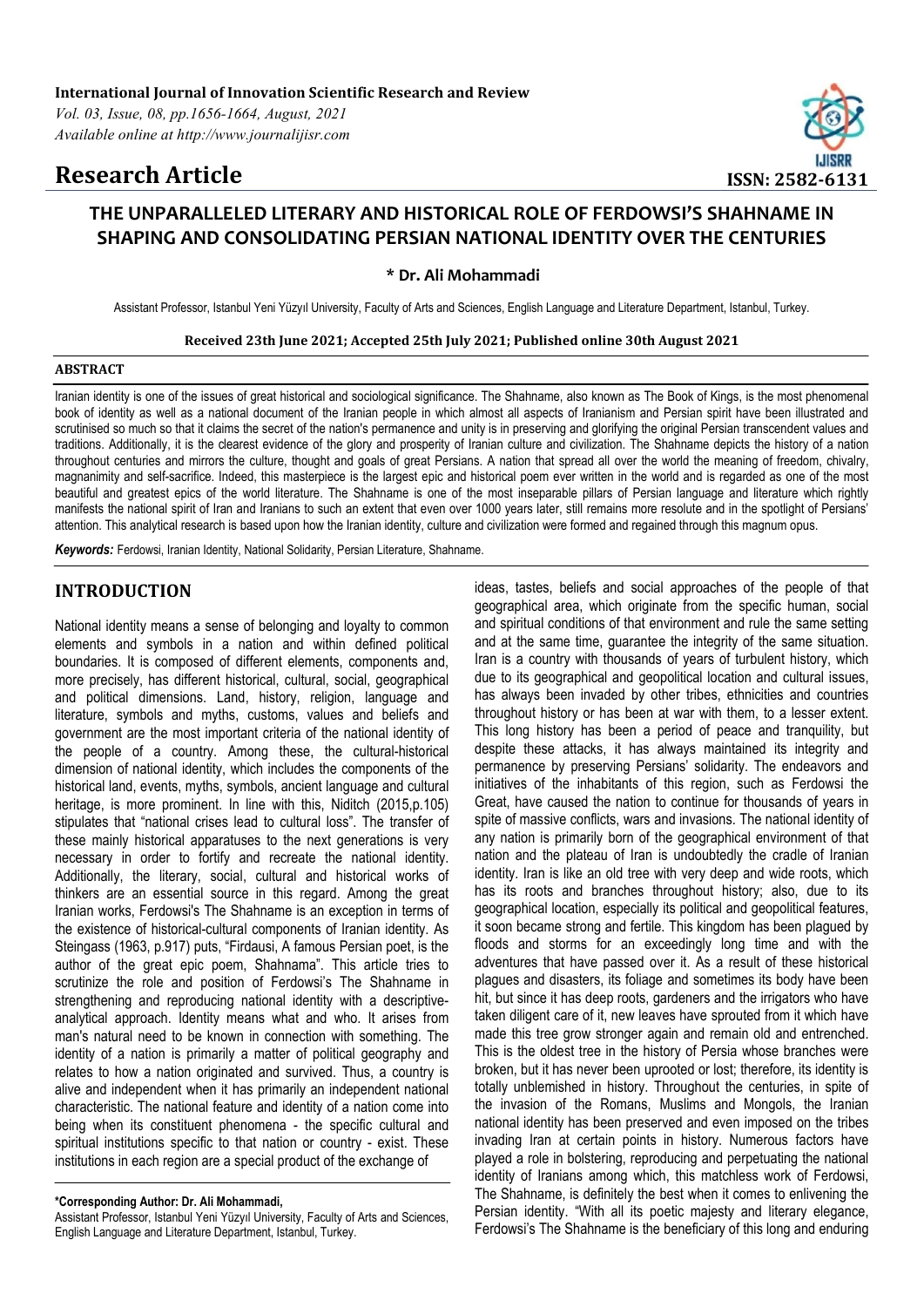# **Research Article ISSN: 2582-6131**



## **THE UNPARALLELED LITERARY AND HISTORICAL ROLE OF FERDOWSI'S SHAHNAME IN SHAPING AND CONSOLIDATING PERSIAN NATIONAL IDENTITY OVER THE CENTURIES**

**\* Dr. Ali Mohammadi**

Assistant Professor, Istanbul Yeni Yüzyıl University, Faculty of Arts and Sciences, English Language and Literature Department, Istanbul, Turkey.

#### **Received 23th June 2021; Accepted 25th July 2021; Published online 30th August 2021**

#### **ABSTRACT**

Iranian identity is one of the issues of great historical and sociological significance. The Shahname, also known as The Book of Kings, is the most phenomenal book of identity as well as a national document of the Iranian people in which almost all aspects of Iranianism and Persian spirit have been illustrated and scrutinised so much so that it claims the secret of the nation's permanence and unity is in preserving and glorifying the original Persian transcendent values and traditions. Additionally, it is the clearest evidence of the glory and prosperity of Iranian culture and civilization. The Shahname depicts the history of a nation throughout centuries and mirrors the culture, thought and goals of great Persians. A nation that spread all over the world the meaning of freedom, chivalry, magnanimity and self-sacrifice. Indeed, this masterpiece is the largest epic and historical poem ever written in the world and is regarded as one of the most beautiful and greatest epics of the world literature. The Shahname is one of the most inseparable pillars of Persian language and literature which rightly manifests the national spirit of Iran and Iranians to such an extent that even over 1000 years later, still remains more resolute and in the spotlight of Persians' attention. This analytical research is based upon how the Iranian identity, culture and civilization were formed and regained through this magnum opus.

*Keywords:* Ferdowsi, Iranian Identity, National Solidarity, Persian Literature, Shahname.

### **INTRODUCTION**

National identity means a sense of belonging and loyalty to common elements and symbols in a nation and within defined political boundaries. It is composed of different elements, components and, more precisely, has different historical, cultural, social, geographical and political dimensions. Land, history, religion, language and literature, symbols and myths, customs, values and beliefs and government are the most important criteria of the national identity of the people of a country. Among these, the cultural-historical dimension of national identity, which includes the components of the historical land, events, myths, symbols, ancient language and cultural heritage, is more prominent. In line with this, Niditch (2015,p.105) stipulates that "national crises lead to cultural loss". The transfer of these mainly historical apparatuses to the next generations is very necessary in order to fortify and recreate the national identity. Additionally, the literary, social, cultural and historical works of thinkers are an essential source in this regard. Among the great Iranian works, Ferdowsi's The Shahname is an exception in terms of the existence of historical-cultural components of Iranian identity. As Steingass (1963, p.917) puts, "Firdausi, A famous Persian poet, is the author of the great epic poem, Shahnama". This article tries to scrutinize the role and position of Ferdowsi's The Shahname in strengthening and reproducing national identity with a descriptiveanalytical approach. Identity means what and who. It arises from man's natural need to be known in connection with something. The identity of a nation is primarily a matter of political geography and relates to how a nation originated and survived. Thus, a country is alive and independent when it has primarily an independent national characteristic. The national feature and identity of a nation come into being when its constituent phenomena - the specific cultural and spiritual institutions specific to that nation or country - exist. These institutions in each region are a special product of the exchange of

ideas, tastes, beliefs and social approaches of the people of that geographical area, which originate from the specific human, social and spiritual conditions of that environment and rule the same setting and at the same time, guarantee the integrity of the same situation. Iran is a country with thousands of years of turbulent history, which due to its geographical and geopolitical location and cultural issues, has always been invaded by other tribes, ethnicities and countries throughout history or has been at war with them, to a lesser extent. This long history has been a period of peace and tranquility, but despite these attacks, it has always maintained its integrity and permanence by preserving Persians' solidarity. The endeavors and initiatives of the inhabitants of this region, such as Ferdowsi the Great, have caused the nation to continue for thousands of years in spite of massive conflicts, wars and invasions. The national identity of any nation is primarily born of the geographical environment of that nation and the plateau of Iran is undoubtedly the cradle of Iranian identity. Iran is like an old tree with very deep and wide roots, which has its roots and branches throughout history; also, due to its geographical location, especially its political and geopolitical features, it soon became strong and fertile. This kingdom has been plagued by floods and storms for an exceedingly long time and with the adventures that have passed over it. As a result of these historical plagues and disasters, its foliage and sometimes its body have been hit, but since it has deep roots, gardeners and the irrigators who have taken diligent care of it, new leaves have sprouted from it which have made this tree grow stronger again and remain old and entrenched. This is the oldest tree in the history of Persia whose branches were broken, but it has never been uprooted or lost; therefore, its identity is totally unblemished in history. Throughout the centuries, in spite of the invasion of the Romans, Muslims and Mongols, the Iranian national identity has been preserved and even imposed on the tribes invading Iran at certain points in history. Numerous factors have played a role in bolstering, reproducing and perpetuating the national identity of Iranians among which, this matchless work of Ferdowsi, The Shahname, is definitely the best when it comes to enlivening the Persian identity. "With all its poetic majesty and literary elegance, Ferdowsi's The Shahname is the beneficiary of this long and enduring

**<sup>\*</sup>Corresponding Author: Dr. Ali Mohammadi,** 

Assistant Professor, Istanbul Yeni Yüzyıl University, Faculty of Arts and Sciences, English Language and Literature Department, Istanbul, Turkey.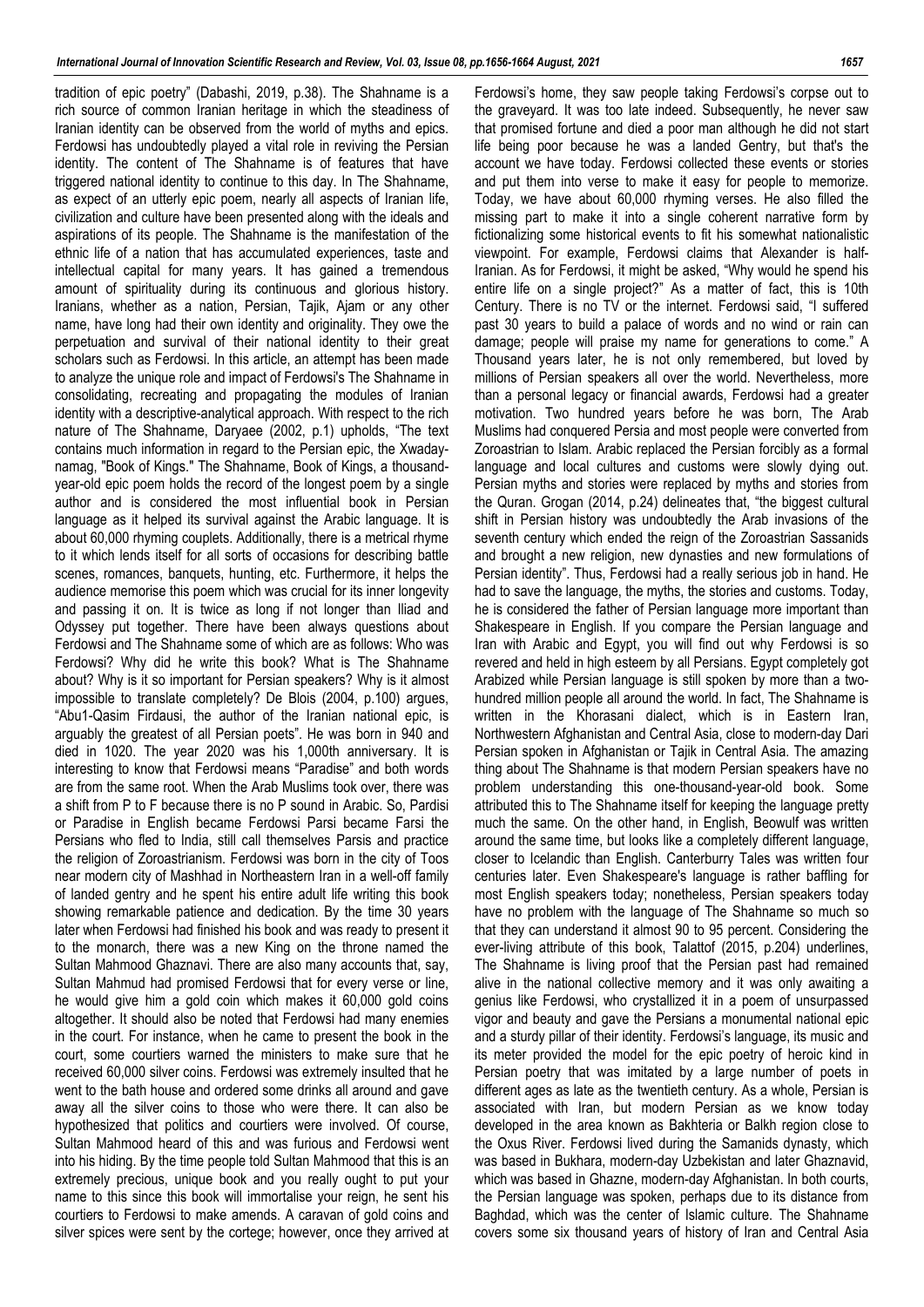tradition of epic poetry" (Dabashi, 2019, p.38). The Shahname is a rich source of common Iranian heritage in which the steadiness of Iranian identity can be observed from the world of myths and epics. Ferdowsi has undoubtedly played a vital role in reviving the Persian identity. The content of The Shahname is of features that have triggered national identity to continue to this day. In The Shahname, as expect of an utterly epic poem, nearly all aspects of Iranian life, civilization and culture have been presented along with the ideals and aspirations of its people. The Shahname is the manifestation of the ethnic life of a nation that has accumulated experiences, taste and intellectual capital for many years. It has gained a tremendous amount of spirituality during its continuous and glorious history. Iranians, whether as a nation, Persian, Tajik, Ajam or any other name, have long had their own identity and originality. They owe the perpetuation and survival of their national identity to their great scholars such as Ferdowsi. In this article, an attempt has been made to analyze the unique role and impact of Ferdowsi's The Shahname in consolidating, recreating and propagating the modules of Iranian identity with a descriptive-analytical approach. With respect to the rich nature of The Shahname, Daryaee (2002, p.1) upholds, "The text contains much information in regard to the Persian epic, the Xwadaynamag, "Book of Kings." The Shahname, Book of Kings, a thousandyear-old epic poem holds the record of the longest poem by a single author and is considered the most influential book in Persian language as it helped its survival against the Arabic language. It is about 60,000 rhyming couplets. Additionally, there is a metrical rhyme to it which lends itself for all sorts of occasions for describing battle scenes, romances, banquets, hunting, etc. Furthermore, it helps the audience memorise this poem which was crucial for its inner longevity and passing it on. It is twice as long if not longer than Iliad and Odyssey put together. There have been always questions about Ferdowsi and The Shahname some of which are as follows: Who was Ferdowsi? Why did he write this book? What is The Shahname about? Why is it so important for Persian speakers? Why is it almost impossible to translate completely? De Blois (2004, p.100) argues, "Abu1-Qasim Firdausi, the author of the Iranian national epic, is arguably the greatest of all Persian poets". He was born in 940 and died in 1020. The year 2020 was his 1,000th anniversary. It is interesting to know that Ferdowsi means "Paradise" and both words are from the same root. When the Arab Muslims took over, there was a shift from P to F because there is no P sound in Arabic. So, Pardisi or Paradise in English became Ferdowsi Parsi became Farsi the Persians who fled to India, still call themselves Parsis and practice the religion of Zoroastrianism. Ferdowsi was born in the city of Toos near modern city of Mashhad in Northeastern Iran in a well-off family of landed gentry and he spent his entire adult life writing this book showing remarkable patience and dedication. By the time 30 years later when Ferdowsi had finished his book and was ready to present it to the monarch, there was a new King on the throne named the Sultan Mahmood Ghaznavi. There are also many accounts that, say, Sultan Mahmud had promised Ferdowsi that for every verse or line, he would give him a gold coin which makes it 60,000 gold coins altogether. It should also be noted that Ferdowsi had many enemies in the court. For instance, when he came to present the book in the court, some courtiers warned the ministers to make sure that he received 60,000 silver coins. Ferdowsi was extremely insulted that he went to the bath house and ordered some drinks all around and gave away all the silver coins to those who were there. It can also be hypothesized that politics and courtiers were involved. Of course, Sultan Mahmood heard of this and was furious and Ferdowsi went into his hiding. By the time people told Sultan Mahmood that this is an extremely precious, unique book and you really ought to put your name to this since this book will immortalise your reign, he sent his courtiers to Ferdowsi to make amends. A caravan of gold coins and silver spices were sent by the cortege; however, once they arrived at Ferdowsi's home, they saw people taking Ferdowsi's corpse out to the graveyard. It was too late indeed. Subsequently, he never saw that promised fortune and died a poor man although he did not start life being poor because he was a landed Gentry, but that's the account we have today. Ferdowsi collected these events or stories and put them into verse to make it easy for people to memorize. Today, we have about 60,000 rhyming verses. He also filled the missing part to make it into a single coherent narrative form by fictionalizing some historical events to fit his somewhat nationalistic viewpoint. For example, Ferdowsi claims that Alexander is half-Iranian. As for Ferdowsi, it might be asked, "Why would he spend his entire life on a single project?" As a matter of fact, this is 10th Century. There is no TV or the internet. Ferdowsi said, "I suffered past 30 years to build a palace of words and no wind or rain can damage; people will praise my name for generations to come." A Thousand years later, he is not only remembered, but loved by millions of Persian speakers all over the world. Nevertheless, more than a personal legacy or financial awards, Ferdowsi had a greater motivation. Two hundred years before he was born, The Arab Muslims had conquered Persia and most people were converted from Zoroastrian to Islam. Arabic replaced the Persian forcibly as a formal language and local cultures and customs were slowly dying out. Persian myths and stories were replaced by myths and stories from the Quran. Grogan (2014, p.24) delineates that, "the biggest cultural shift in Persian history was undoubtedly the Arab invasions of the seventh century which ended the reign of the Zoroastrian Sassanids and brought a new religion, new dynasties and new formulations of Persian identity". Thus, Ferdowsi had a really serious job in hand. He had to save the language, the myths, the stories and customs. Today, he is considered the father of Persian language more important than Shakespeare in English. If you compare the Persian language and Iran with Arabic and Egypt, you will find out why Ferdowsi is so revered and held in high esteem by all Persians. Egypt completely got Arabized while Persian language is still spoken by more than a twohundred million people all around the world. In fact, The Shahname is written in the Khorasani dialect, which is in Eastern Iran, Northwestern Afghanistan and Central Asia, close to modern-day Dari Persian spoken in Afghanistan or Tajik in Central Asia. The amazing thing about The Shahname is that modern Persian speakers have no problem understanding this one-thousand-year-old book. Some attributed this to The Shahname itself for keeping the language pretty much the same. On the other hand, in English, Beowulf was written around the same time, but looks like a completely different language, closer to Icelandic than English. Canterburry Tales was written four centuries later. Even Shakespeare's language is rather baffling for most English speakers today; nonetheless, Persian speakers today have no problem with the language of The Shahname so much so that they can understand it almost 90 to 95 percent. Considering the ever-living attribute of this book, Talattof (2015, p.204) underlines, The Shahname is living proof that the Persian past had remained alive in the national collective memory and it was only awaiting a genius like Ferdowsi, who crystallized it in a poem of unsurpassed vigor and beauty and gave the Persians a monumental national epic and a sturdy pillar of their identity. Ferdowsi's language, its music and its meter provided the model for the epic poetry of heroic kind in Persian poetry that was imitated by a large number of poets in different ages as late as the twentieth century. As a whole, Persian is associated with Iran, but modern Persian as we know today developed in the area known as Bakhteria or Balkh region close to the Oxus River. Ferdowsi lived during the Samanids dynasty, which was based in Bukhara, modern-day Uzbekistan and later Ghaznavid, which was based in Ghazne, modern-day Afghanistan. In both courts, the Persian language was spoken, perhaps due to its distance from Baghdad, which was the center of Islamic culture. The Shahname covers some six thousand years of history of Iran and Central Asia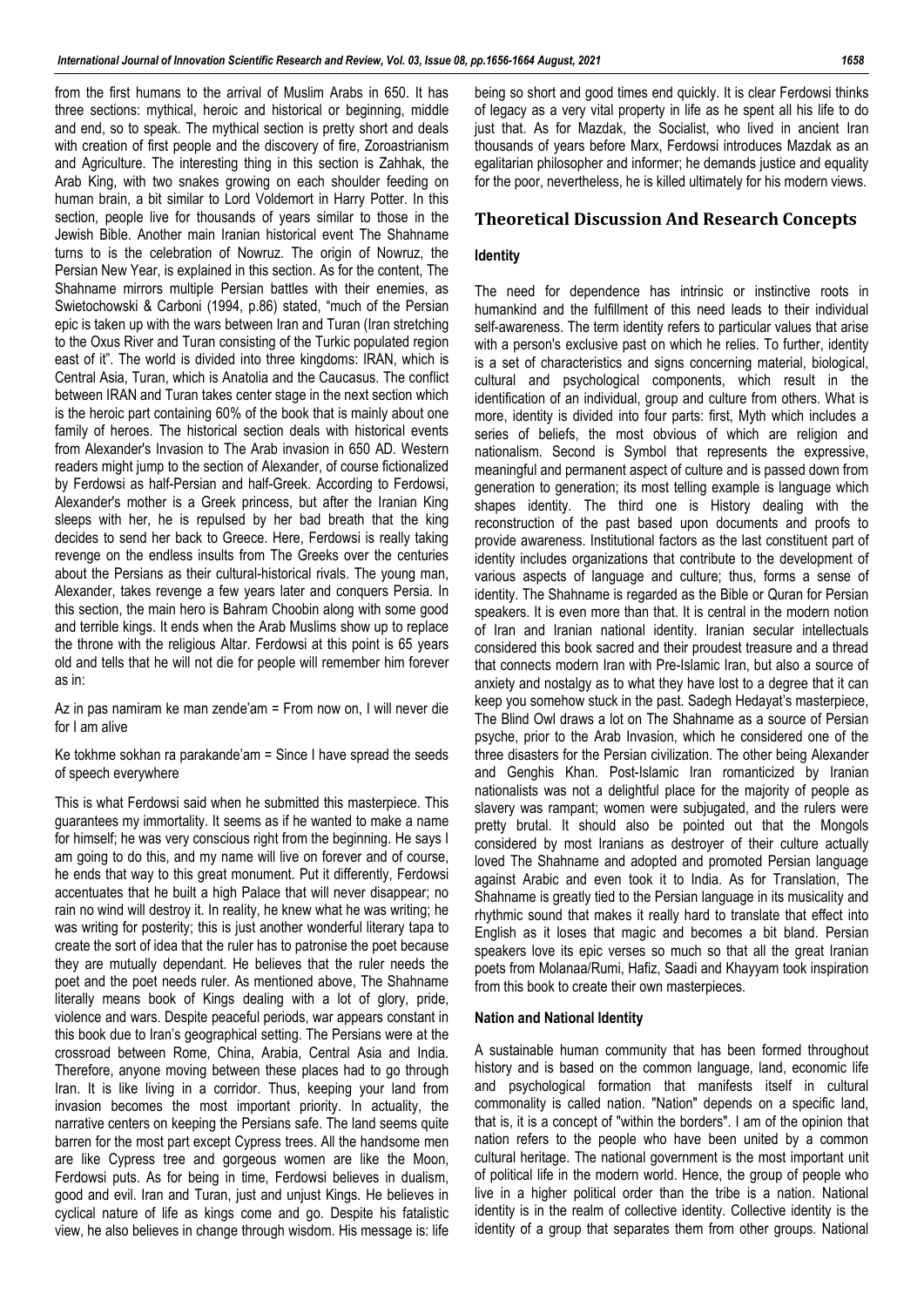from the first humans to the arrival of Muslim Arabs in 650. It has three sections: mythical, heroic and historical or beginning, middle and end, so to speak. The mythical section is pretty short and deals with creation of first people and the discovery of fire, Zoroastrianism and Agriculture. The interesting thing in this section is Zahhak, the Arab King, with two snakes growing on each shoulder feeding on human brain, a bit similar to Lord Voldemort in Harry Potter. In this section, people live for thousands of years similar to those in the Jewish Bible. Another main Iranian historical event The Shahname turns to is the celebration of Nowruz. The origin of Nowruz, the Persian New Year, is explained in this section. As for the content, The Shahname mirrors multiple Persian battles with their enemies, as Swietochowski & Carboni (1994, p.86) stated, "much of the Persian epic is taken up with the wars between Iran and Turan (Iran stretching to the Oxus River and Turan consisting of the Turkic populated region east of it". The world is divided into three kingdoms: IRAN, which is Central Asia, Turan, which is Anatolia and the Caucasus. The conflict between IRAN and Turan takes center stage in the next section which is the heroic part containing 60% of the book that is mainly about one family of heroes. The historical section deals with historical events from Alexander's Invasion to The Arab invasion in 650 AD. Western readers might jump to the section of Alexander, of course fictionalized by Ferdowsi as half-Persian and half-Greek. According to Ferdowsi, Alexander's mother is a Greek princess, but after the Iranian King sleeps with her, he is repulsed by her bad breath that the king decides to send her back to Greece. Here, Ferdowsi is really taking revenge on the endless insults from The Greeks over the centuries about the Persians as their cultural-historical rivals. The young man, Alexander, takes revenge a few years later and conquers Persia. In this section, the main hero is Bahram Choobin along with some good and terrible kings. It ends when the Arab Muslims show up to replace the throne with the religious Altar. Ferdowsi at this point is 65 years old and tells that he will not die for people will remember him forever as in:

Az in pas namiram ke man zende'am = From now on, I will never die for I am alive

Ke tokhme sokhan ra parakande'am = Since I have spread the seeds of speech everywhere

This is what Ferdowsi said when he submitted this masterpiece. This guarantees my immortality. It seems as if he wanted to make a name for himself; he was very conscious right from the beginning. He says I am going to do this, and my name will live on forever and of course, he ends that way to this great monument. Put it differently, Ferdowsi accentuates that he built a high Palace that will never disappear; no rain no wind will destroy it. In reality, he knew what he was writing; he was writing for posterity; this is just another wonderful literary tapa to create the sort of idea that the ruler has to patronise the poet because they are mutually dependant. He believes that the ruler needs the poet and the poet needs ruler. As mentioned above, The Shahname literally means book of Kings dealing with a lot of glory, pride, violence and wars. Despite peaceful periods, war appears constant in this book due to Iran's geographical setting. The Persians were at the crossroad between Rome, China, Arabia, Central Asia and India. Therefore, anyone moving between these places had to go through Iran. It is like living in a corridor. Thus, keeping your land from invasion becomes the most important priority. In actuality, the narrative centers on keeping the Persians safe. The land seems quite barren for the most part except Cypress trees. All the handsome men are like Cypress tree and gorgeous women are like the Moon, Ferdowsi puts. As for being in time, Ferdowsi believes in dualism, good and evil. Iran and Turan, just and unjust Kings. He believes in cyclical nature of life as kings come and go. Despite his fatalistic view, he also believes in change through wisdom. His message is: life being so short and good times end quickly. It is clear Ferdowsi thinks of legacy as a very vital property in life as he spent all his life to do just that. As for Mazdak, the Socialist, who lived in ancient Iran thousands of years before Marx, Ferdowsi introduces Mazdak as an egalitarian philosopher and informer; he demands justice and equality for the poor, nevertheless, he is killed ultimately for his modern views.

### **Theoretical Discussion And Research Concepts**

### **Identity**

The need for dependence has intrinsic or instinctive roots in humankind and the fulfillment of this need leads to their individual self-awareness. The term identity refers to particular values that arise with a person's exclusive past on which he relies. To further, identity is a set of characteristics and signs concerning material, biological, cultural and psychological components, which result in the identification of an individual, group and culture from others. What is more, identity is divided into four parts: first, Myth which includes a series of beliefs, the most obvious of which are religion and nationalism. Second is Symbol that represents the expressive, meaningful and permanent aspect of culture and is passed down from generation to generation; its most telling example is language which shapes identity. The third one is History dealing with the reconstruction of the past based upon documents and proofs to provide awareness. Institutional factors as the last constituent part of identity includes organizations that contribute to the development of various aspects of language and culture; thus, forms a sense of identity. The Shahname is regarded as the Bible or Quran for Persian speakers. It is even more than that. It is central in the modern notion of Iran and Iranian national identity. Iranian secular intellectuals considered this book sacred and their proudest treasure and a thread that connects modern Iran with Pre-Islamic Iran, but also a source of anxiety and nostalgy as to what they have lost to a degree that it can keep you somehow stuck in the past. Sadegh Hedayat's masterpiece, The Blind Owl draws a lot on The Shahname as a source of Persian psyche, prior to the Arab Invasion, which he considered one of the three disasters for the Persian civilization. The other being Alexander and Genghis Khan. Post-Islamic Iran romanticized by Iranian nationalists was not a delightful place for the majority of people as slavery was rampant; women were subjugated, and the rulers were pretty brutal. It should also be pointed out that the Mongols considered by most Iranians as destroyer of their culture actually loved The Shahname and adopted and promoted Persian language against Arabic and even took it to India. As for Translation, The Shahname is greatly tied to the Persian language in its musicality and rhythmic sound that makes it really hard to translate that effect into English as it loses that magic and becomes a bit bland. Persian speakers love its epic verses so much so that all the great Iranian poets from Molanaa/Rumi, Hafiz, Saadi and Khayyam took inspiration from this book to create their own masterpieces.

#### **Nation and National Identity**

A sustainable human community that has been formed throughout history and is based on the common language, land, economic life and psychological formation that manifests itself in cultural commonality is called nation. "Nation" depends on a specific land, that is, it is a concept of "within the borders". I am of the opinion that nation refers to the people who have been united by a common cultural heritage. The national government is the most important unit of political life in the modern world. Hence, the group of people who live in a higher political order than the tribe is a nation. National identity is in the realm of collective identity. Collective identity is the identity of a group that separates them from other groups. National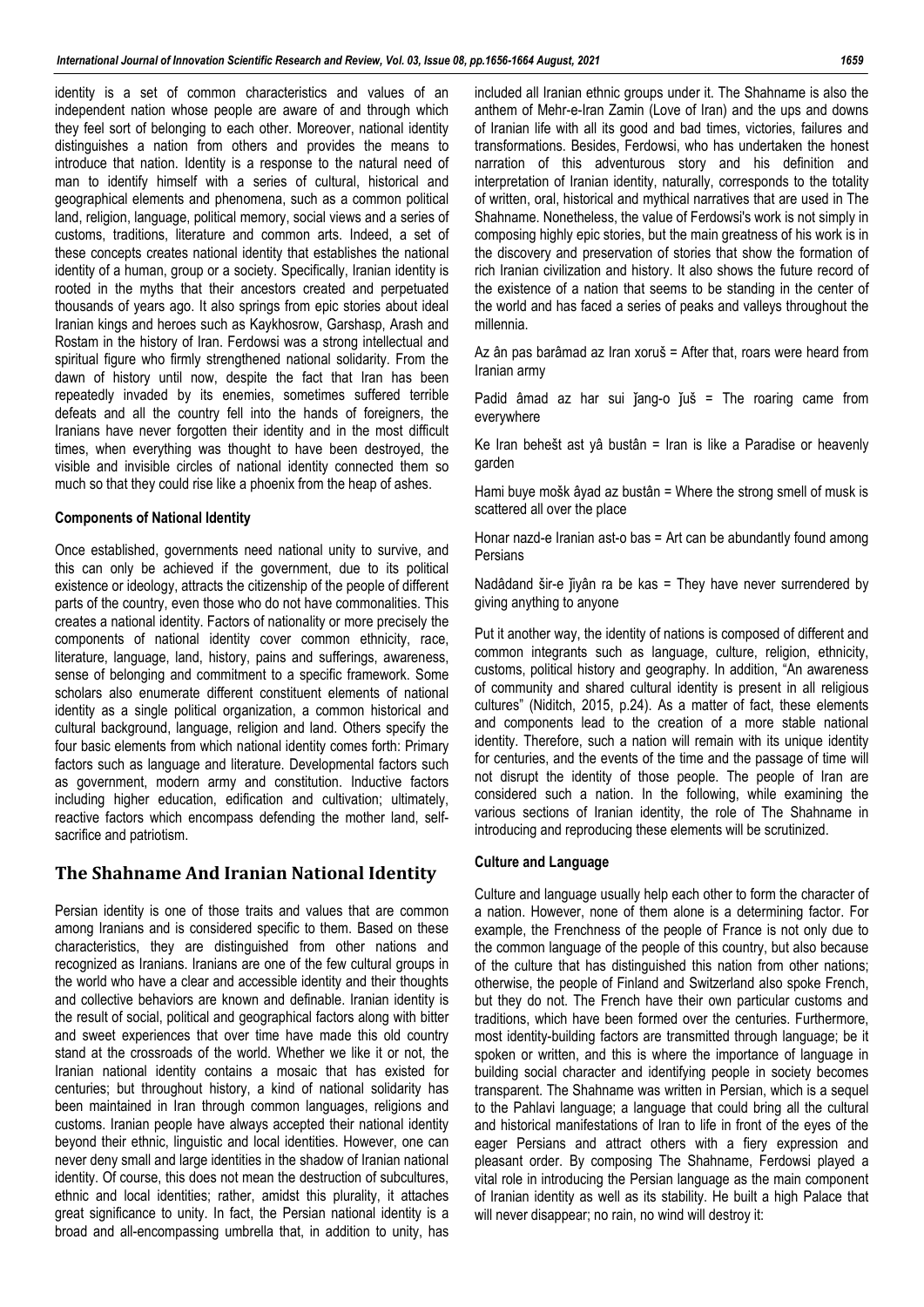identity is a set of common characteristics and values of an independent nation whose people are aware of and through which they feel sort of belonging to each other. Moreover, national identity distinguishes a nation from others and provides the means to introduce that nation. Identity is a response to the natural need of man to identify himself with a series of cultural, historical and geographical elements and phenomena, such as a common political land, religion, language, political memory, social views and a series of customs, traditions, literature and common arts. Indeed, a set of these concepts creates national identity that establishes the national identity of a human, group or a society. Specifically, Iranian identity is rooted in the myths that their ancestors created and perpetuated thousands of years ago. It also springs from epic stories about ideal Iranian kings and heroes such as Kaykhosrow, Garshasp, Arash and Rostam in the history of Iran. Ferdowsi was a strong intellectual and spiritual figure who firmly strengthened national solidarity. From the dawn of history until now, despite the fact that Iran has been repeatedly invaded by its enemies, sometimes suffered terrible defeats and all the country fell into the hands of foreigners, the Iranians have never forgotten their identity and in the most difficult times, when everything was thought to have been destroyed, the visible and invisible circles of national identity connected them so much so that they could rise like a phoenix from the heap of ashes.

### **Components of National Identity**

Once established, governments need national unity to survive, and this can only be achieved if the government, due to its political existence or ideology, attracts the citizenship of the people of different parts of the country, even those who do not have commonalities. This creates a national identity. Factors of nationality or more precisely the components of national identity cover common ethnicity, race, literature, language, land, history, pains and sufferings, awareness, sense of belonging and commitment to a specific framework. Some scholars also enumerate different constituent elements of national identity as a single political organization, a common historical and cultural background, language, religion and land. Others specify the four basic elements from which national identity comes forth: Primary factors such as language and literature. Developmental factors such as government, modern army and constitution. Inductive factors including higher education, edification and cultivation; ultimately, reactive factors which encompass defending the mother land, selfsacrifice and patriotism.

### **The Shahname And Iranian National Identity**

Persian identity is one of those traits and values that are common among Iranians and is considered specific to them. Based on these characteristics, they are distinguished from other nations and recognized as Iranians. Iranians are one of the few cultural groups in the world who have a clear and accessible identity and their thoughts and collective behaviors are known and definable. Iranian identity is the result of social, political and geographical factors along with bitter and sweet experiences that over time have made this old country stand at the crossroads of the world. Whether we like it or not, the Iranian national identity contains a mosaic that has existed for centuries; but throughout history, a kind of national solidarity has been maintained in Iran through common languages, religions and customs. Iranian people have always accepted their national identity beyond their ethnic, linguistic and local identities. However, one can never deny small and large identities in the shadow of Iranian national identity. Of course, this does not mean the destruction of subcultures, ethnic and local identities; rather, amidst this plurality, it attaches great significance to unity. In fact, the Persian national identity is a broad and all-encompassing umbrella that, in addition to unity, has included all Iranian ethnic groups under it. The Shahname is also the anthem of Mehr-e-Iran Zamin (Love of Iran) and the ups and downs of Iranian life with all its good and bad times, victories, failures and transformations. Besides, Ferdowsi, who has undertaken the honest narration of this adventurous story and his definition and interpretation of Iranian identity, naturally, corresponds to the totality of written, oral, historical and mythical narratives that are used in The Shahname. Nonetheless, the value of Ferdowsi's work is not simply in composing highly epic stories, but the main greatness of his work is in the discovery and preservation of stories that show the formation of rich Iranian civilization and history. It also shows the future record of the existence of a nation that seems to be standing in the center of the world and has faced a series of peaks and valleys throughout the millennia.

Az ân pas barâmad az Iran xoruš = After that, roars were heard from Iranian army

Padid âmad az har sui jang-o juš = The roaring came from everywhere

Ke Iran behešt ast yâ bustân = Iran is like a Paradise or heavenly garden

Hami buye mošk âyad az bustân = Where the strong smell of musk is scattered all over the place

Honar nazd-e Iranian ast-o bas = Art can be abundantly found among **Persians** 

Nadâdand šir-e jiyân ra be kas = They have never surrendered by giving anything to anyone

Put it another way, the identity of nations is composed of different and common integrants such as language, culture, religion, ethnicity, customs, political history and geography. In addition, "An awareness of community and shared cultural identity is present in all religious cultures" (Niditch, 2015, p.24). As a matter of fact, these elements and components lead to the creation of a more stable national identity. Therefore, such a nation will remain with its unique identity for centuries, and the events of the time and the passage of time will not disrupt the identity of those people. The people of Iran are considered such a nation. In the following, while examining the various sections of Iranian identity, the role of The Shahname in introducing and reproducing these elements will be scrutinized.

### **Culture and Language**

Culture and language usually help each other to form the character of a nation. However, none of them alone is a determining factor. For example, the Frenchness of the people of France is not only due to the common language of the people of this country, but also because of the culture that has distinguished this nation from other nations; otherwise, the people of Finland and Switzerland also spoke French, but they do not. The French have their own particular customs and traditions, which have been formed over the centuries. Furthermore, most identity-building factors are transmitted through language; be it spoken or written, and this is where the importance of language in building social character and identifying people in society becomes transparent. The Shahname was written in Persian, which is a sequel to the Pahlavi language; a language that could bring all the cultural and historical manifestations of Iran to life in front of the eyes of the eager Persians and attract others with a fiery expression and pleasant order. By composing The Shahname, Ferdowsi played a vital role in introducing the Persian language as the main component of Iranian identity as well as its stability. He built a high Palace that will never disappear; no rain, no wind will destroy it: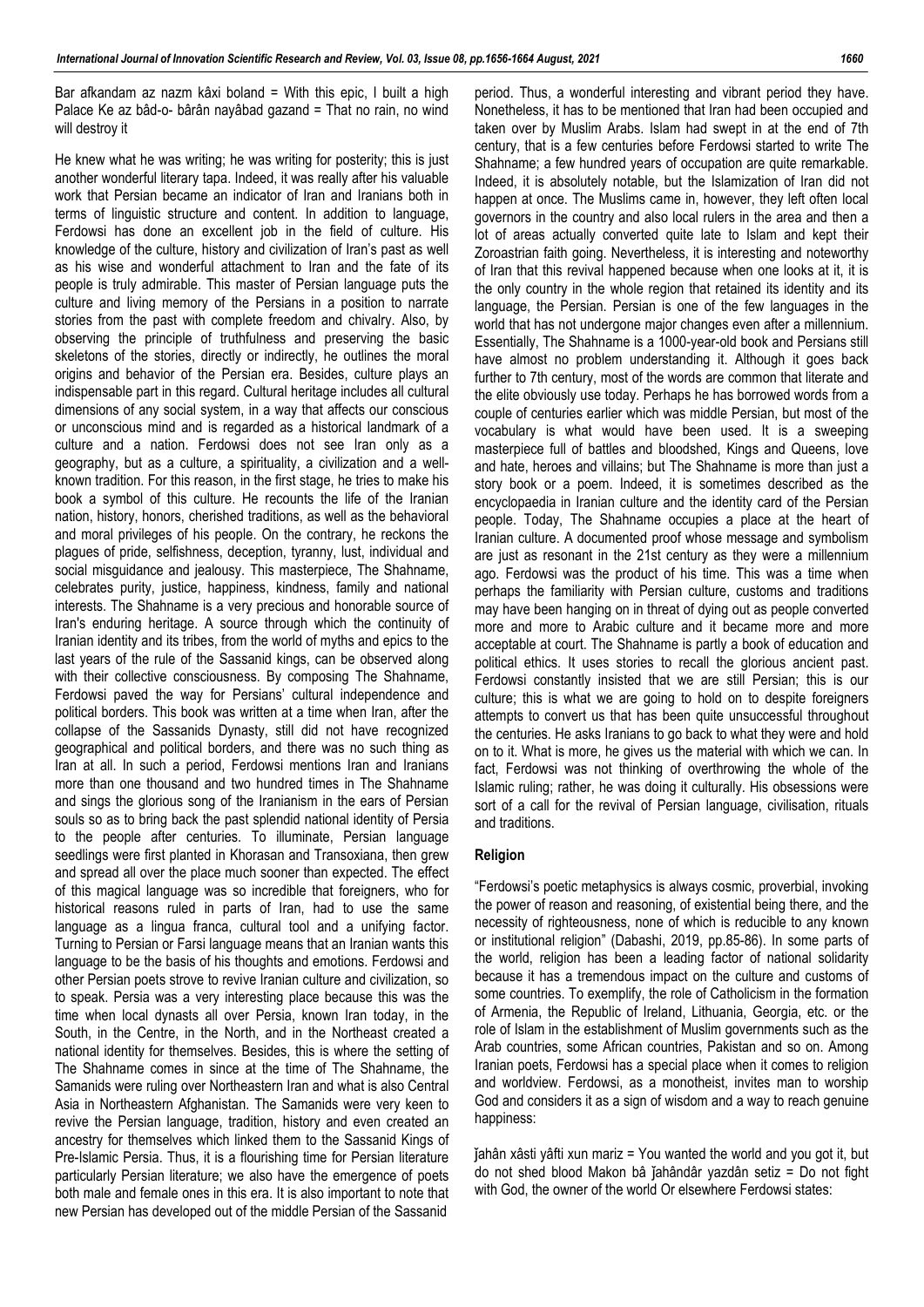Bar afkandam az nazm kâxi boland = With this epic, I built a high Palace Ke az bâd-o- bârân nayâbad gazand = That no rain, no wind will destroy it

He knew what he was writing; he was writing for posterity; this is just another wonderful literary tapa. Indeed, it was really after his valuable work that Persian became an indicator of Iran and Iranians both in terms of linguistic structure and content. In addition to language, Ferdowsi has done an excellent job in the field of culture. His knowledge of the culture, history and civilization of Iran's past as well as his wise and wonderful attachment to Iran and the fate of its people is truly admirable. This master of Persian language puts the culture and living memory of the Persians in a position to narrate stories from the past with complete freedom and chivalry. Also, by observing the principle of truthfulness and preserving the basic skeletons of the stories, directly or indirectly, he outlines the moral origins and behavior of the Persian era. Besides, culture plays an indispensable part in this regard. Cultural heritage includes all cultural dimensions of any social system, in a way that affects our conscious or unconscious mind and is regarded as a historical landmark of a culture and a nation. Ferdowsi does not see Iran only as a geography, but as a culture, a spirituality, a civilization and a wellknown tradition. For this reason, in the first stage, he tries to make his book a symbol of this culture. He recounts the life of the Iranian nation, history, honors, cherished traditions, as well as the behavioral and moral privileges of his people. On the contrary, he reckons the plagues of pride, selfishness, deception, tyranny, lust, individual and social misguidance and jealousy. This masterpiece, The Shahname, celebrates purity, justice, happiness, kindness, family and national interests. The Shahname is a very precious and honorable source of Iran's enduring heritage. A source through which the continuity of Iranian identity and its tribes, from the world of myths and epics to the last years of the rule of the Sassanid kings, can be observed along with their collective consciousness. By composing The Shahname, Ferdowsi paved the way for Persians' cultural independence and political borders. This book was written at a time when Iran, after the collapse of the Sassanids Dynasty, still did not have recognized geographical and political borders, and there was no such thing as Iran at all. In such a period, Ferdowsi mentions Iran and Iranians more than one thousand and two hundred times in The Shahname and sings the glorious song of the Iranianism in the ears of Persian souls so as to bring back the past splendid national identity of Persia to the people after centuries. To illuminate, Persian language seedlings were first planted in Khorasan and Transoxiana, then grew and spread all over the place much sooner than expected. The effect of this magical language was so incredible that foreigners, who for historical reasons ruled in parts of Iran, had to use the same language as a lingua franca, cultural tool and a unifying factor. Turning to Persian or Farsi language means that an Iranian wants this language to be the basis of his thoughts and emotions. Ferdowsi and other Persian poets strove to revive Iranian culture and civilization, so to speak. Persia was a very interesting place because this was the time when local dynasts all over Persia, known Iran today, in the South, in the Centre, in the North, and in the Northeast created a national identity for themselves. Besides, this is where the setting of The Shahname comes in since at the time of The Shahname, the Samanids were ruling over Northeastern Iran and what is also Central Asia in Northeastern Afghanistan. The Samanids were very keen to revive the Persian language, tradition, history and even created an ancestry for themselves which linked them to the Sassanid Kings of Pre-Islamic Persia. Thus, it is a flourishing time for Persian literature particularly Persian literature; we also have the emergence of poets both male and female ones in this era. It is also important to note that new Persian has developed out of the middle Persian of the Sassanid

period. Thus, a wonderful interesting and vibrant period they have. Nonetheless, it has to be mentioned that Iran had been occupied and taken over by Muslim Arabs. Islam had swept in at the end of 7th century, that is a few centuries before Ferdowsi started to write The Shahname; a few hundred years of occupation are quite remarkable. Indeed, it is absolutely notable, but the Islamization of Iran did not happen at once. The Muslims came in, however, they left often local governors in the country and also local rulers in the area and then a lot of areas actually converted quite late to Islam and kept their Zoroastrian faith going. Nevertheless, it is interesting and noteworthy of Iran that this revival happened because when one looks at it, it is the only country in the whole region that retained its identity and its language, the Persian. Persian is one of the few languages in the world that has not undergone major changes even after a millennium. Essentially, The Shahname is a 1000-year-old book and Persians still have almost no problem understanding it. Although it goes back further to 7th century, most of the words are common that literate and the elite obviously use today. Perhaps he has borrowed words from a couple of centuries earlier which was middle Persian, but most of the vocabulary is what would have been used. It is a sweeping masterpiece full of battles and bloodshed, Kings and Queens, love and hate, heroes and villains; but The Shahname is more than just a story book or a poem. Indeed, it is sometimes described as the encyclopaedia in Iranian culture and the identity card of the Persian people. Today, The Shahname occupies a place at the heart of Iranian culture. A documented proof whose message and symbolism are just as resonant in the 21st century as they were a millennium ago. Ferdowsi was the product of his time. This was a time when perhaps the familiarity with Persian culture, customs and traditions may have been hanging on in threat of dying out as people converted more and more to Arabic culture and it became more and more acceptable at court. The Shahname is partly a book of education and political ethics. It uses stories to recall the glorious ancient past. Ferdowsi constantly insisted that we are still Persian; this is our culture; this is what we are going to hold on to despite foreigners attempts to convert us that has been quite unsuccessful throughout the centuries. He asks Iranians to go back to what they were and hold on to it. What is more, he gives us the material with which we can. In fact, Ferdowsi was not thinking of overthrowing the whole of the Islamic ruling; rather, he was doing it culturally. His obsessions were sort of a call for the revival of Persian language, civilisation, rituals and traditions.

### **Religion**

"Ferdowsi's poetic metaphysics is always cosmic, proverbial, invoking the power of reason and reasoning, of existential being there, and the necessity of righteousness, none of which is reducible to any known or institutional religion" (Dabashi, 2019, pp.85-86). In some parts of the world, religion has been a leading factor of national solidarity because it has a tremendous impact on the culture and customs of some countries. To exemplify, the role of Catholicism in the formation of Armenia, the Republic of Ireland, Lithuania, Georgia, etc. or the role of Islam in the establishment of Muslim governments such as the Arab countries, some African countries, Pakistan and so on. Among Iranian poets, Ferdowsi has a special place when it comes to religion and worldview. Ferdowsi, as a monotheist, invites man to worship God and considers it as a sign of wisdom and a way to reach genuine happiness:

ǰahân xâsti yâfti xun mariz = You wanted the world and you got it, but do not shed blood Makon bâ ǰahândâr yazdân setiz = Do not fight with God, the owner of the world Or elsewhere Ferdowsi states: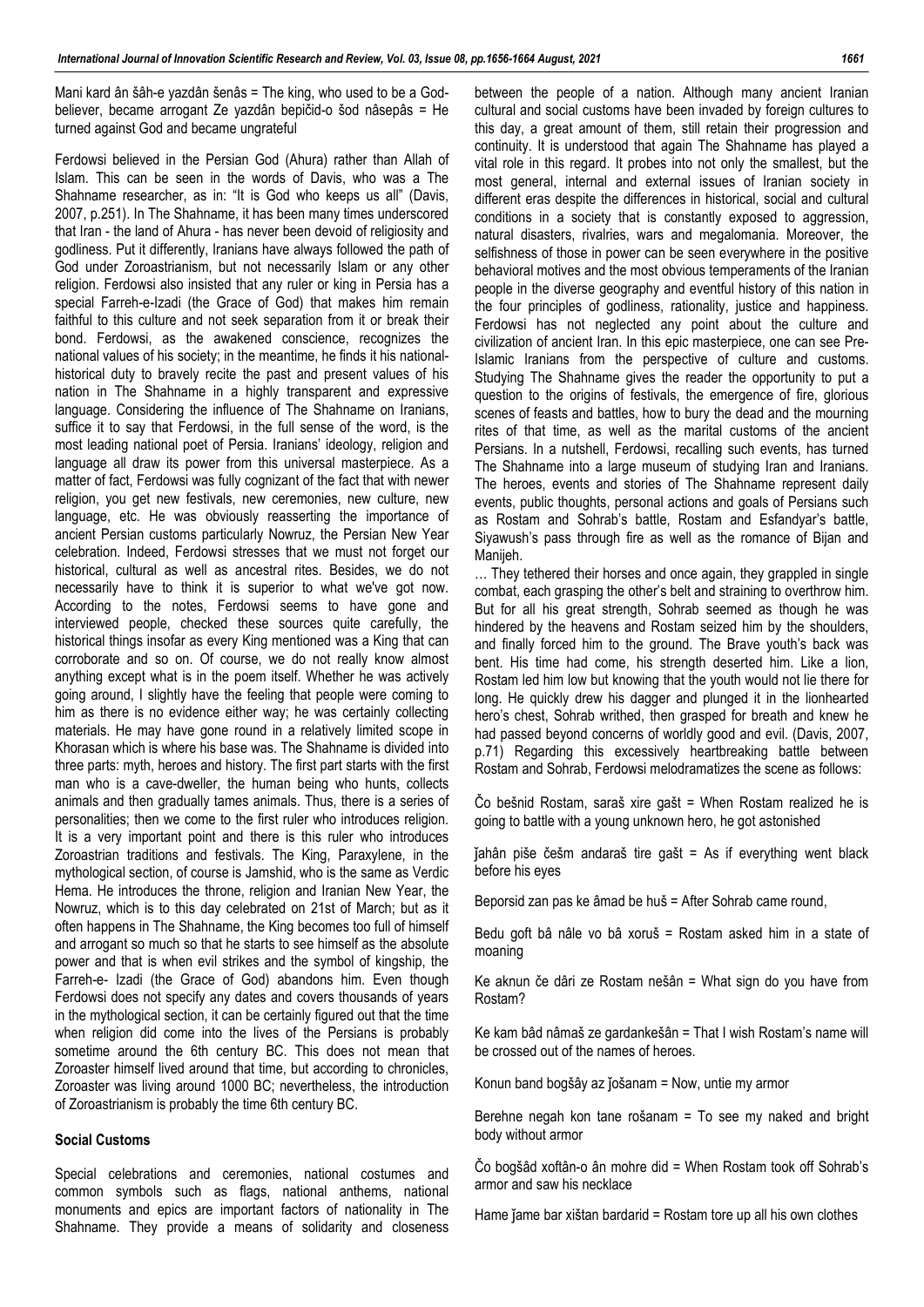Mani kard ân šâh-e yazdân šenâs = The king, who used to be a Godbeliever, became arrogant Ze yazdân bepičid-o šod nâsepâs = He turned against God and became ungrateful

Ferdowsi believed in the Persian God (Ahura) rather than Allah of Islam. This can be seen in the words of Davis, who was a The Shahname researcher, as in: "It is God who keeps us all" (Davis, 2007, p.251). In The Shahname, it has been many times underscored that Iran - the land of Ahura - has never been devoid of religiosity and godliness. Put it differently, Iranians have always followed the path of God under Zoroastrianism, but not necessarily Islam or any other religion. Ferdowsi also insisted that any ruler or king in Persia has a special Farreh-e-Izadi (the Grace of God) that makes him remain faithful to this culture and not seek separation from it or break their bond. Ferdowsi, as the awakened conscience, recognizes the national values of his society; in the meantime, he finds it his nationalhistorical duty to bravely recite the past and present values of his nation in The Shahname in a highly transparent and expressive language. Considering the influence of The Shahname on Iranians, suffice it to say that Ferdowsi, in the full sense of the word, is the most leading national poet of Persia. Iranians' ideology, religion and language all draw its power from this universal masterpiece. As a matter of fact, Ferdowsi was fully cognizant of the fact that with newer religion, you get new festivals, new ceremonies, new culture, new language, etc. He was obviously reasserting the importance of ancient Persian customs particularly Nowruz, the Persian New Year celebration. Indeed, Ferdowsi stresses that we must not forget our historical, cultural as well as ancestral rites. Besides, we do not necessarily have to think it is superior to what we've got now. According to the notes, Ferdowsi seems to have gone and interviewed people, checked these sources quite carefully, the historical things insofar as every King mentioned was a King that can corroborate and so on. Of course, we do not really know almost anything except what is in the poem itself. Whether he was actively going around, I slightly have the feeling that people were coming to him as there is no evidence either way; he was certainly collecting materials. He may have gone round in a relatively limited scope in Khorasan which is where his base was. The Shahname is divided into three parts: myth, heroes and history. The first part starts with the first man who is a cave-dweller, the human being who hunts, collects animals and then gradually tames animals. Thus, there is a series of personalities; then we come to the first ruler who introduces religion. It is a very important point and there is this ruler who introduces Zoroastrian traditions and festivals. The King, Paraxylene, in the mythological section, of course is Jamshid, who is the same as Verdic Hema. He introduces the throne, religion and Iranian New Year, the Nowruz, which is to this day celebrated on 21st of March; but as it often happens in The Shahname, the King becomes too full of himself and arrogant so much so that he starts to see himself as the absolute power and that is when evil strikes and the symbol of kingship, the Farreh-e- Izadi (the Grace of God) abandons him. Even though Ferdowsi does not specify any dates and covers thousands of years in the mythological section, it can be certainly figured out that the time when religion did come into the lives of the Persians is probably sometime around the 6th century BC. This does not mean that Zoroaster himself lived around that time, but according to chronicles, Zoroaster was living around 1000 BC; nevertheless, the introduction of Zoroastrianism is probably the time 6th century BC.

### **Social Customs**

Special celebrations and ceremonies, national costumes and common symbols such as flags, national anthems, national monuments and epics are important factors of nationality in The Shahname. They provide a means of solidarity and closeness between the people of a nation. Although many ancient Iranian cultural and social customs have been invaded by foreign cultures to this day, a great amount of them, still retain their progression and continuity. It is understood that again The Shahname has played a vital role in this regard. It probes into not only the smallest, but the most general, internal and external issues of Iranian society in different eras despite the differences in historical, social and cultural conditions in a society that is constantly exposed to aggression, natural disasters, rivalries, wars and megalomania. Moreover, the selfishness of those in power can be seen everywhere in the positive behavioral motives and the most obvious temperaments of the Iranian people in the diverse geography and eventful history of this nation in the four principles of godliness, rationality, justice and happiness. Ferdowsi has not neglected any point about the culture and civilization of ancient Iran. In this epic masterpiece, one can see Pre-Islamic Iranians from the perspective of culture and customs. Studying The Shahname gives the reader the opportunity to put a question to the origins of festivals, the emergence of fire, glorious scenes of feasts and battles, how to bury the dead and the mourning rites of that time, as well as the marital customs of the ancient Persians. In a nutshell, Ferdowsi, recalling such events, has turned The Shahname into a large museum of studying Iran and Iranians. The heroes, events and stories of The Shahname represent daily events, public thoughts, personal actions and goals of Persians such as Rostam and Sohrab's battle, Rostam and Esfandyar's battle, Siyawush's pass through fire as well as the romance of Bijan and Manijeh.

… They tethered their horses and once again, they grappled in single combat, each grasping the other's belt and straining to overthrow him. But for all his great strength, Sohrab seemed as though he was hindered by the heavens and Rostam seized him by the shoulders, and finally forced him to the ground. The Brave youth's back was bent. His time had come, his strength deserted him. Like a lion, Rostam led him low but knowing that the youth would not lie there for long. He quickly drew his dagger and plunged it in the lionhearted hero's chest, Sohrab writhed, then grasped for breath and knew he had passed beyond concerns of worldly good and evil. (Davis, 2007, p.71) Regarding this excessively heartbreaking battle between Rostam and Sohrab, Ferdowsi melodramatizes the scene as follows:

Čo bešnid Rostam, saraš xire gašt = When Rostam realized he is going to battle with a young unknown hero, he got astonished

ǰahân piše češm andaraš tire gašt = As if everything went black before his eyes

Beporsid zan pas ke âmad be huš = After Sohrab came round,

Bedu goft bâ nâle vo bâ xoruš = Rostam asked him in a state of moaning

Ke aknun če dâri ze Rostam nešân = What sign do you have from Rostam?

Ke kam bâd nâmaš ze gardankešân = That I wish Rostam's name will be crossed out of the names of heroes.

Konun band bogšây az jošanam = Now, untie my armor

Berehne negah kon tane rošanam = To see my naked and bright body without armor

Čo bogšâd xoftân-o ân mohre did = When Rostam took off Sohrab's armor and saw his necklace

Hame jame bar xištan bardarid = Rostam tore up all his own clothes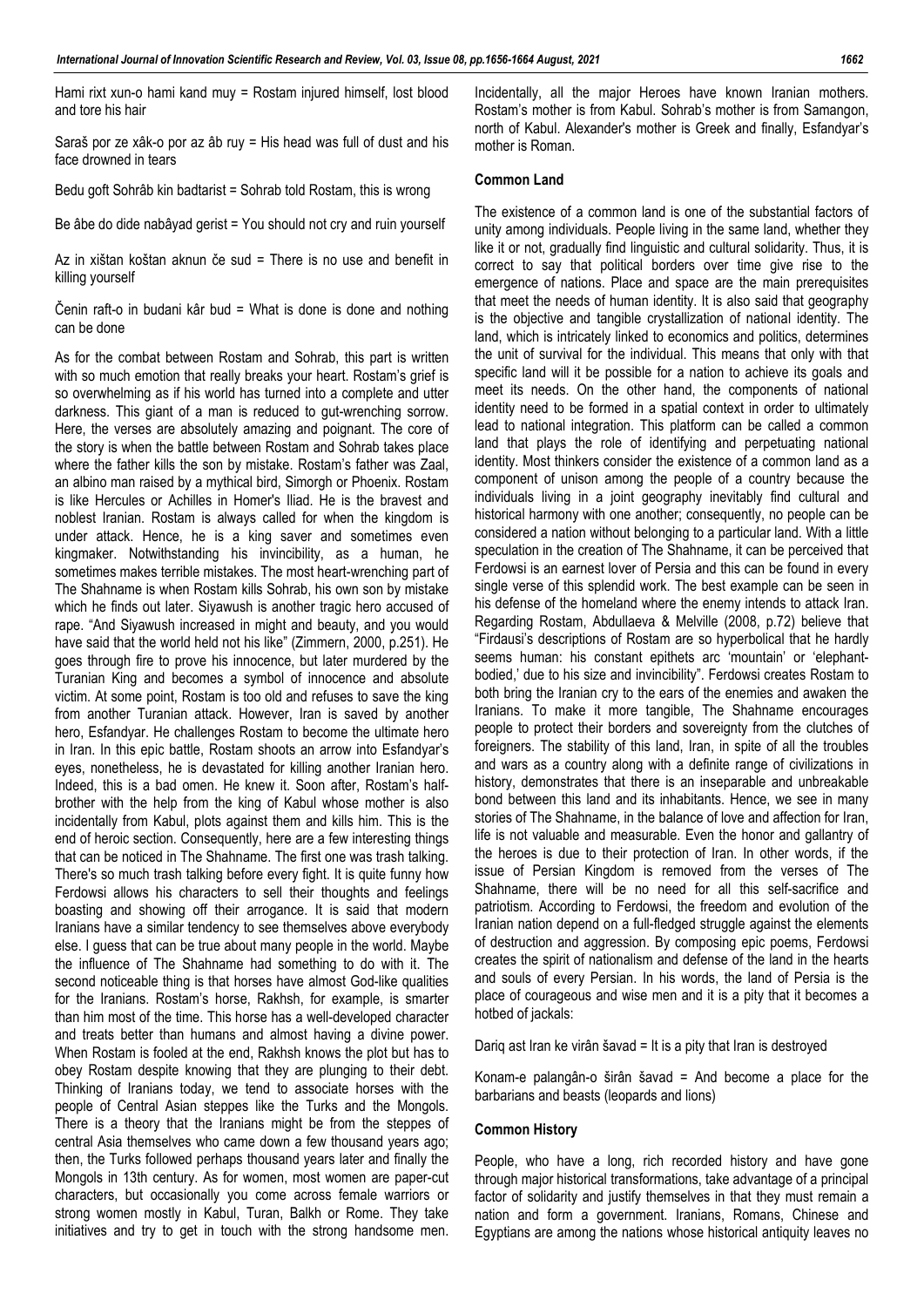Hami rixt xun-o hami kand muy = Rostam injured himself, lost blood and tore his hair

Saraš por ze xâk-o por az âb ruy = His head was full of dust and his face drowned in tears

Bedu goft Sohrâb kin badtarist = Sohrab told Rostam, this is wrong

Be âbe do dide nabâyad gerist = You should not cry and ruin yourself

Az in xištan koštan aknun če sud = There is no use and benefit in killing yourself

Čenin raft-o in budani kâr bud = What is done is done and nothing can be done

As for the combat between Rostam and Sohrab, this part is written with so much emotion that really breaks your heart. Rostam's grief is so overwhelming as if his world has turned into a complete and utter darkness. This giant of a man is reduced to gut-wrenching sorrow. Here, the verses are absolutely amazing and poignant. The core of the story is when the battle between Rostam and Sohrab takes place where the father kills the son by mistake. Rostam's father was Zaal, an albino man raised by a mythical bird, Simorgh or Phoenix. Rostam is like Hercules or Achilles in Homer's Iliad. He is the bravest and noblest Iranian. Rostam is always called for when the kingdom is under attack. Hence, he is a king saver and sometimes even kingmaker. Notwithstanding his invincibility, as a human, he sometimes makes terrible mistakes. The most heart-wrenching part of The Shahname is when Rostam kills Sohrab, his own son by mistake which he finds out later. Siyawush is another tragic hero accused of rape. "And Siyawush increased in might and beauty, and you would have said that the world held not his like" (Zimmern, 2000, p.251). He goes through fire to prove his innocence, but later murdered by the Turanian King and becomes a symbol of innocence and absolute victim. At some point, Rostam is too old and refuses to save the king from another Turanian attack. However, Iran is saved by another hero, Esfandyar. He challenges Rostam to become the ultimate hero in Iran. In this epic battle, Rostam shoots an arrow into Esfandyar's eyes, nonetheless, he is devastated for killing another Iranian hero. Indeed, this is a bad omen. He knew it. Soon after, Rostam's halfbrother with the help from the king of Kabul whose mother is also incidentally from Kabul, plots against them and kills him. This is the end of heroic section. Consequently, here are a few interesting things that can be noticed in The Shahname. The first one was trash talking. There's so much trash talking before every fight. It is quite funny how Ferdowsi allows his characters to sell their thoughts and feelings boasting and showing off their arrogance. It is said that modern Iranians have a similar tendency to see themselves above everybody else. I guess that can be true about many people in the world. Maybe the influence of The Shahname had something to do with it. The second noticeable thing is that horses have almost God-like qualities for the Iranians. Rostam's horse, Rakhsh, for example, is smarter than him most of the time. This horse has a well-developed character and treats better than humans and almost having a divine power. When Rostam is fooled at the end, Rakhsh knows the plot but has to obey Rostam despite knowing that they are plunging to their debt. Thinking of Iranians today, we tend to associate horses with the people of Central Asian steppes like the Turks and the Mongols. There is a theory that the Iranians might be from the steppes of central Asia themselves who came down a few thousand years ago; then, the Turks followed perhaps thousand years later and finally the Mongols in 13th century. As for women, most women are paper-cut characters, but occasionally you come across female warriors or strong women mostly in Kabul, Turan, Balkh or Rome. They take initiatives and try to get in touch with the strong handsome men. Incidentally, all the major Heroes have known Iranian mothers. Rostam's mother is from Kabul. Sohrab's mother is from Samangon, north of Kabul. Alexander's mother is Greek and finally, Esfandyar's mother is Roman.

### **Common Land**

The existence of a common land is one of the substantial factors of unity among individuals. People living in the same land, whether they like it or not, gradually find linguistic and cultural solidarity. Thus, it is correct to say that political borders over time give rise to the emergence of nations. Place and space are the main prerequisites that meet the needs of human identity. It is also said that geography is the objective and tangible crystallization of national identity. The land, which is intricately linked to economics and politics, determines the unit of survival for the individual. This means that only with that specific land will it be possible for a nation to achieve its goals and meet its needs. On the other hand, the components of national identity need to be formed in a spatial context in order to ultimately lead to national integration. This platform can be called a common land that plays the role of identifying and perpetuating national identity. Most thinkers consider the existence of a common land as a component of unison among the people of a country because the individuals living in a joint geography inevitably find cultural and historical harmony with one another; consequently, no people can be considered a nation without belonging to a particular land. With a little speculation in the creation of The Shahname, it can be perceived that Ferdowsi is an earnest lover of Persia and this can be found in every single verse of this splendid work. The best example can be seen in his defense of the homeland where the enemy intends to attack Iran. Regarding Rostam, Abdullaeva & Melville (2008, p.72) believe that "Firdausi's descriptions of Rostam are so hyperbolical that he hardly seems human: his constant epithets arc 'mountain' or 'elephantbodied,' due to his size and invincibility". Ferdowsi creates Rostam to both bring the Iranian cry to the ears of the enemies and awaken the Iranians. To make it more tangible, The Shahname encourages people to protect their borders and sovereignty from the clutches of foreigners. The stability of this land, Iran, in spite of all the troubles and wars as a country along with a definite range of civilizations in history, demonstrates that there is an inseparable and unbreakable bond between this land and its inhabitants. Hence, we see in many stories of The Shahname, in the balance of love and affection for Iran, life is not valuable and measurable. Even the honor and gallantry of the heroes is due to their protection of Iran. In other words, if the issue of Persian Kingdom is removed from the verses of The Shahname, there will be no need for all this self-sacrifice and patriotism. According to Ferdowsi, the freedom and evolution of the Iranian nation depend on a full-fledged struggle against the elements of destruction and aggression. By composing epic poems, Ferdowsi creates the spirit of nationalism and defense of the land in the hearts and souls of every Persian. In his words, the land of Persia is the place of courageous and wise men and it is a pity that it becomes a hotbed of jackals:

Dariq ast Iran ke virân šavad = It is a pity that Iran is destroyed

Konam-e palangân-o širân šavad = And become a place for the barbarians and beasts (leopards and lions)

### **Common History**

People, who have a long, rich recorded history and have gone through major historical transformations, take advantage of a principal factor of solidarity and justify themselves in that they must remain a nation and form a government. Iranians, Romans, Chinese and Egyptians are among the nations whose historical antiquity leaves no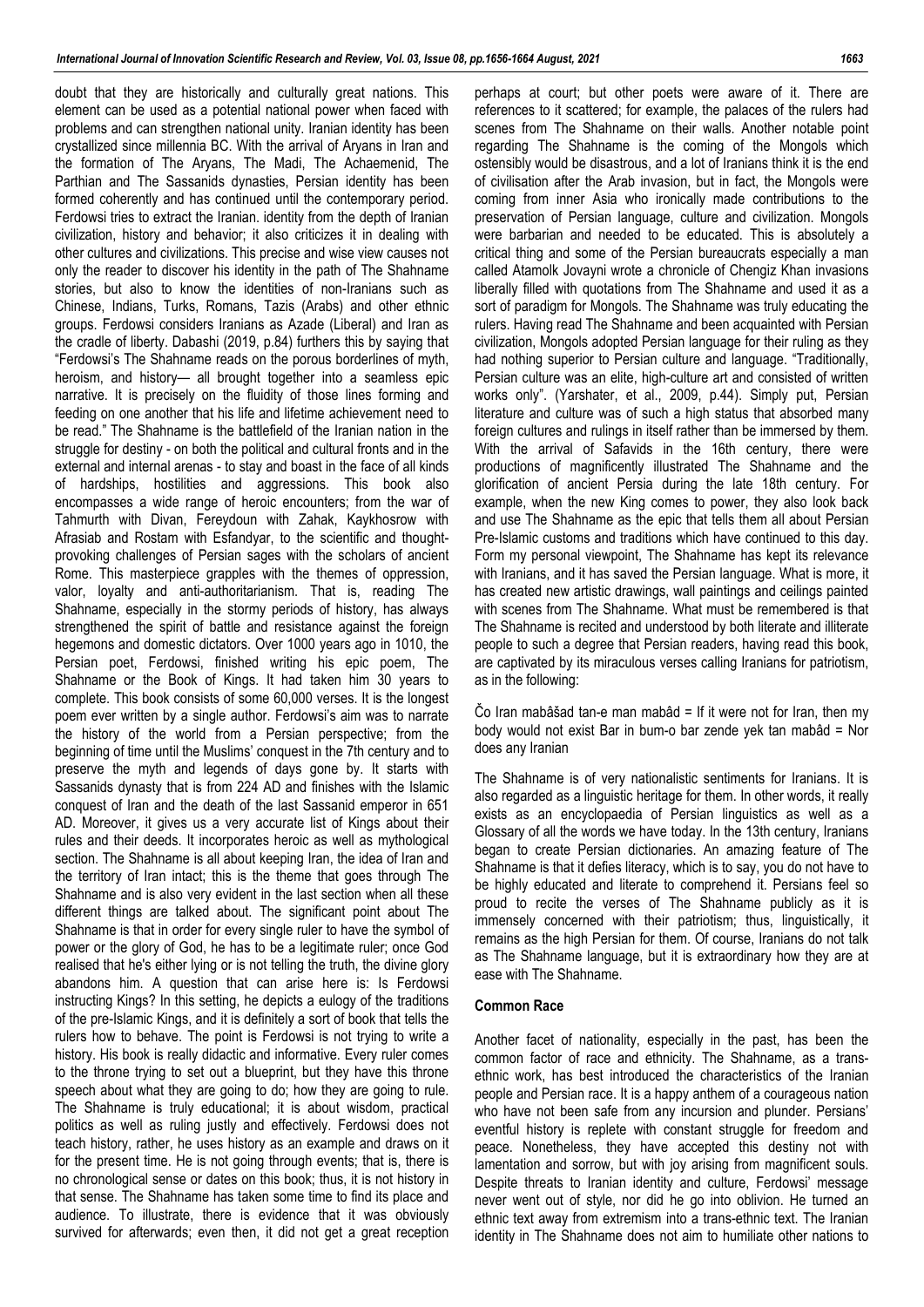doubt that they are historically and culturally great nations. This element can be used as a potential national power when faced with problems and can strengthen national unity. Iranian identity has been crystallized since millennia BC. With the arrival of Aryans in Iran and the formation of The Aryans, The Madi, The Achaemenid, The Parthian and The Sassanids dynasties, Persian identity has been formed coherently and has continued until the contemporary period. Ferdowsi tries to extract the Iranian. identity from the depth of Iranian civilization, history and behavior; it also criticizes it in dealing with other cultures and civilizations. This precise and wise view causes not only the reader to discover his identity in the path of The Shahname stories, but also to know the identities of non-Iranians such as Chinese, Indians, Turks, Romans, Tazis (Arabs) and other ethnic groups. Ferdowsi considers Iranians as Azade (Liberal) and Iran as the cradle of liberty. Dabashi (2019, p.84) furthers this by saying that "Ferdowsi's The Shahname reads on the porous borderlines of myth, heroism, and history— all brought together into a seamless epic narrative. It is precisely on the fluidity of those lines forming and feeding on one another that his life and lifetime achievement need to be read." The Shahname is the battlefield of the Iranian nation in the struggle for destiny - on both the political and cultural fronts and in the external and internal arenas - to stay and boast in the face of all kinds of hardships, hostilities and aggressions. This book also encompasses a wide range of heroic encounters; from the war of Tahmurth with Divan, Fereydoun with Zahak, Kaykhosrow with Afrasiab and Rostam with Esfandyar, to the scientific and thoughtprovoking challenges of Persian sages with the scholars of ancient Rome. This masterpiece grapples with the themes of oppression, valor, loyalty and anti-authoritarianism. That is, reading The Shahname, especially in the stormy periods of history, has always strengthened the spirit of battle and resistance against the foreign hegemons and domestic dictators. Over 1000 years ago in 1010, the Persian poet, Ferdowsi, finished writing his epic poem, The Shahname or the Book of Kings. It had taken him 30 years to complete. This book consists of some 60,000 verses. It is the longest poem ever written by a single author. Ferdowsi's aim was to narrate the history of the world from a Persian perspective; from the beginning of time until the Muslims' conquest in the 7th century and to preserve the myth and legends of days gone by. It starts with Sassanids dynasty that is from 224 AD and finishes with the Islamic conquest of Iran and the death of the last Sassanid emperor in 651 AD. Moreover, it gives us a very accurate list of Kings about their rules and their deeds. It incorporates heroic as well as mythological section. The Shahname is all about keeping Iran, the idea of Iran and the territory of Iran intact; this is the theme that goes through The Shahname and is also very evident in the last section when all these different things are talked about. The significant point about The Shahname is that in order for every single ruler to have the symbol of power or the glory of God, he has to be a legitimate ruler; once God realised that he's either lying or is not telling the truth, the divine glory abandons him. A question that can arise here is: Is Ferdowsi instructing Kings? In this setting, he depicts a eulogy of the traditions of the pre-Islamic Kings, and it is definitely a sort of book that tells the rulers how to behave. The point is Ferdowsi is not trying to write a history. His book is really didactic and informative. Every ruler comes to the throne trying to set out a blueprint, but they have this throne speech about what they are going to do; how they are going to rule. The Shahname is truly educational; it is about wisdom, practical politics as well as ruling justly and effectively. Ferdowsi does not teach history, rather, he uses history as an example and draws on it for the present time. He is not going through events; that is, there is no chronological sense or dates on this book; thus, it is not history in that sense. The Shahname has taken some time to find its place and audience. To illustrate, there is evidence that it was obviously survived for afterwards; even then, it did not get a great reception perhaps at court; but other poets were aware of it. There are references to it scattered; for example, the palaces of the rulers had scenes from The Shahname on their walls. Another notable point regarding The Shahname is the coming of the Mongols which ostensibly would be disastrous, and a lot of Iranians think it is the end of civilisation after the Arab invasion, but in fact, the Mongols were coming from inner Asia who ironically made contributions to the preservation of Persian language, culture and civilization. Mongols were barbarian and needed to be educated. This is absolutely a critical thing and some of the Persian bureaucrats especially a man called Atamolk Jovayni wrote a chronicle of Chengiz Khan invasions liberally filled with quotations from The Shahname and used it as a sort of paradigm for Mongols. The Shahname was truly educating the rulers. Having read The Shahname and been acquainted with Persian civilization, Mongols adopted Persian language for their ruling as they had nothing superior to Persian culture and language. "Traditionally, Persian culture was an elite, high-culture art and consisted of written works only". (Yarshater, et al., 2009, p.44). Simply put, Persian literature and culture was of such a high status that absorbed many foreign cultures and rulings in itself rather than be immersed by them. With the arrival of Safavids in the 16th century, there were productions of magnificently illustrated The Shahname and the glorification of ancient Persia during the late 18th century. For example, when the new King comes to power, they also look back and use The Shahname as the epic that tells them all about Persian Pre-Islamic customs and traditions which have continued to this day. Form my personal viewpoint, The Shahname has kept its relevance with Iranians, and it has saved the Persian language. What is more, it has created new artistic drawings, wall paintings and ceilings painted with scenes from The Shahname. What must be remembered is that The Shahname is recited and understood by both literate and illiterate people to such a degree that Persian readers, having read this book, are captivated by its miraculous verses calling Iranians for patriotism, as in the following:

Čo Iran mabâšad tan-e man mabâd = If it were not for Iran, then my body would not exist Bar in bum-o bar zende yek tan mabâd = Nor does any Iranian

The Shahname is of very nationalistic sentiments for Iranians. It is also regarded as a linguistic heritage for them. In other words, it really exists as an encyclopaedia of Persian linguistics as well as a Glossary of all the words we have today. In the 13th century, Iranians began to create Persian dictionaries. An amazing feature of The Shahname is that it defies literacy, which is to say, you do not have to be highly educated and literate to comprehend it. Persians feel so proud to recite the verses of The Shahname publicly as it is immensely concerned with their patriotism; thus, linguistically, it remains as the high Persian for them. Of course, Iranians do not talk as The Shahname language, but it is extraordinary how they are at ease with The Shahname.

### **Common Race**

Another facet of nationality, especially in the past, has been the common factor of race and ethnicity. The Shahname, as a transethnic work, has best introduced the characteristics of the Iranian people and Persian race. It is a happy anthem of a courageous nation who have not been safe from any incursion and plunder. Persians' eventful history is replete with constant struggle for freedom and peace. Nonetheless, they have accepted this destiny not with lamentation and sorrow, but with joy arising from magnificent souls. Despite threats to Iranian identity and culture, Ferdowsi' message never went out of style, nor did he go into oblivion. He turned an ethnic text away from extremism into a trans-ethnic text. The Iranian identity in The Shahname does not aim to humiliate other nations to